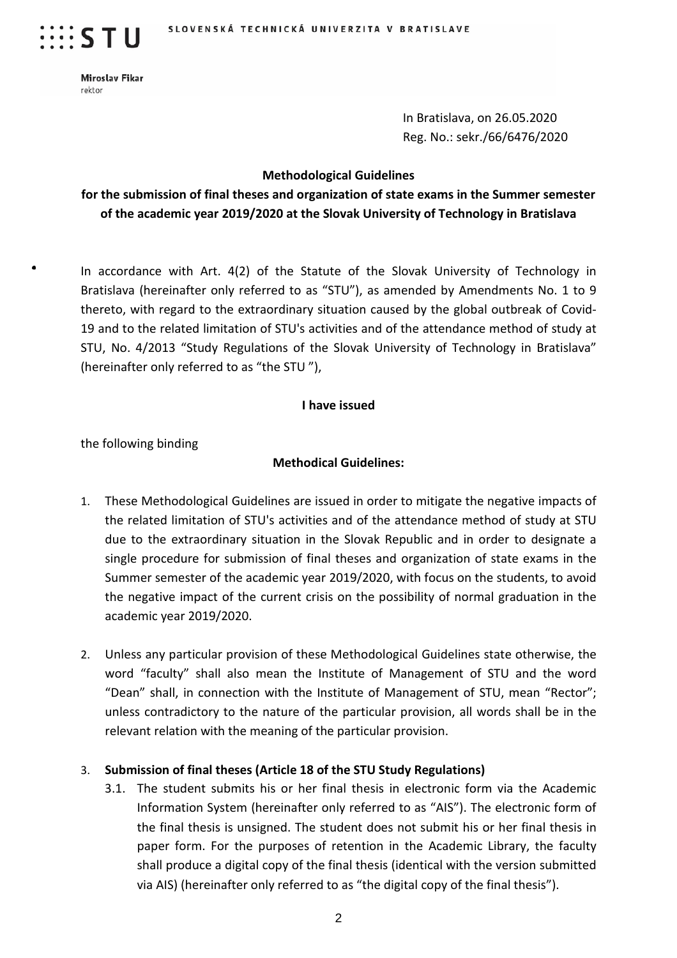

 $\cdots$  s t u

 $\bullet$ 

Miroslav Fikar rektor

> In Bratislava, on 26.05.2020 Reg. No.: sekr./66/6476/2020

#### **Methodological Guidelines**

## **for the submission of final theses and organization of state exams in the Summer semester of the academic year 2019/2020 at the Slovak University of Technology in Bratislava**

In accordance with Art. 4(2) of the Statute of the Slovak University of Technology in Bratislava (hereinafter only referred to as "STU"), as amended by Amendments No. 1 to 9 thereto, with regard to the extraordinary situation caused by the global outbreak of Covid-19 and to the related limitation of STU's activities and of the attendance method of study at STU, No. 4/2013 "Study Regulations of the Slovak University of Technology in Bratislava" (hereinafter only referred to as "the STU "),

#### **I have issued**

the following binding

#### **Methodical Guidelines:**

- 1. These Methodological Guidelines are issued in order to mitigate the negative impacts of the related limitation of STU's activities and of the attendance method of study at STU due to the extraordinary situation in the Slovak Republic and in order to designate a single procedure for submission of final theses and organization of state exams in the Summer semester of the academic year 2019/2020, with focus on the students, to avoid the negative impact of the current crisis on the possibility of normal graduation in the academic year 2019/2020.
- 2. Unless any particular provision of these Methodological Guidelines state otherwise, the word "faculty" shall also mean the Institute of Management of STU and the word "Dean" shall, in connection with the Institute of Management of STU, mean "Rector"; unless contradictory to the nature of the particular provision, all words shall be in the relevant relation with the meaning of the particular provision.

#### 3. **Submission of final theses (Article 18 of the STU Study Regulations)**

3.1. The student submits his or her final thesis in electronic form via the Academic Information System (hereinafter only referred to as "AIS"). The electronic form of the final thesis is unsigned. The student does not submit his or her final thesis in paper form. For the purposes of retention in the Academic Library, the faculty shall produce a digital copy of the final thesis (identical with the version submitted via AIS) (hereinafter only referred to as "the digital copy of the final thesis").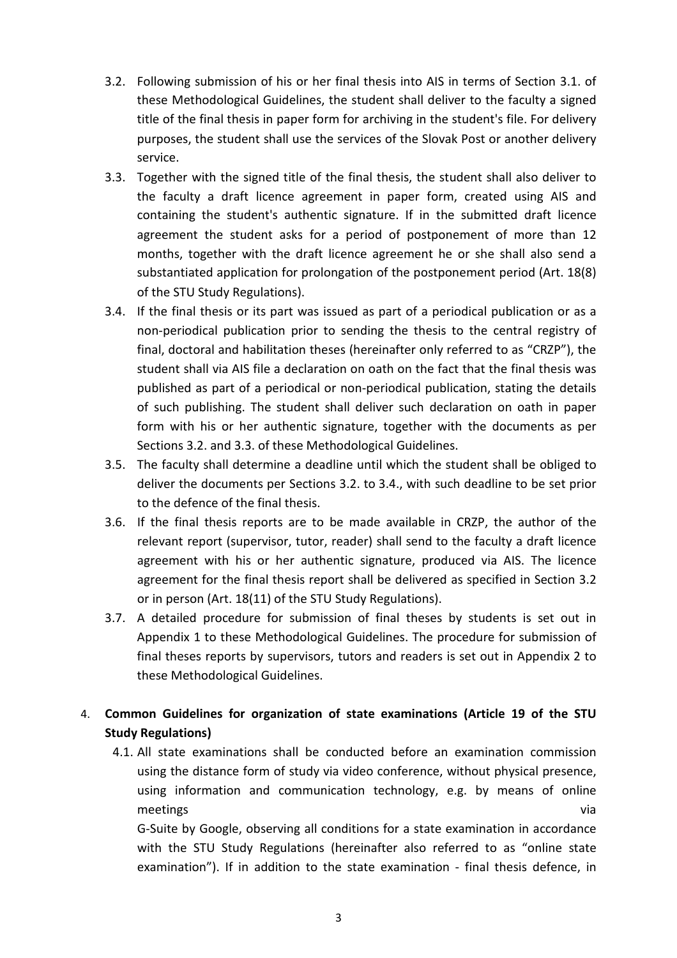- 3.2. Following submission of his or her final thesis into AIS in terms of Section 3.1. of these Methodological Guidelines, the student shall deliver to the faculty a signed title of the final thesis in paper form for archiving in the student's file. For delivery purposes, the student shall use the services of the Slovak Post or another delivery service.
- 3.3. Together with the signed title of the final thesis, the student shall also deliver to the faculty a draft licence agreement in paper form, created using AIS and containing the student's authentic signature. If in the submitted draft licence agreement the student asks for a period of postponement of more than 12 months, together with the draft licence agreement he or she shall also send a substantiated application for prolongation of the postponement period (Art. 18(8) of the STU Study Regulations).
- 3.4. If the final thesis or its part was issued as part of a periodical publication or as a non-periodical publication prior to sending the thesis to the central registry of final, doctoral and habilitation theses (hereinafter only referred to as "CRZP"), the student shall via AIS file a declaration on oath on the fact that the final thesis was published as part of a periodical or non-periodical publication, stating the details of such publishing. The student shall deliver such declaration on oath in paper form with his or her authentic signature, together with the documents as per Sections 3.2. and 3.3. of these Methodological Guidelines.
- 3.5. The faculty shall determine a deadline until which the student shall be obliged to deliver the documents per Sections 3.2. to 3.4., with such deadline to be set prior to the defence of the final thesis.
- 3.6. If the final thesis reports are to be made available in CRZP, the author of the relevant report (supervisor, tutor, reader) shall send to the faculty a draft licence agreement with his or her authentic signature, produced via AIS. The licence agreement for the final thesis report shall be delivered as specified in Section 3.2 or in person (Art. 18(11) of the STU Study Regulations).
- 3.7. A detailed procedure for submission of final theses by students is set out in Appendix 1 to these Methodological Guidelines. The procedure for submission of final theses reports by supervisors, tutors and readers is set out in Appendix 2 to these Methodological Guidelines.

# 4. **Common Guidelines for organization of state examinations (Article 19 of the STU Study Regulations)**

4.1. All state examinations shall be conducted before an examination commission using the distance form of study via video conference, without physical presence, using information and communication technology, e.g. by means of online meetings via and the contract of the contract of the contract of the contract of the contract of the contract of the contract of the contract of the contract of the contract of the contract of the contract of the contract

G-Suite by Google, observing all conditions for a state examination in accordance with the STU Study Regulations (hereinafter also referred to as "online state examination"). If in addition to the state examination - final thesis defence, in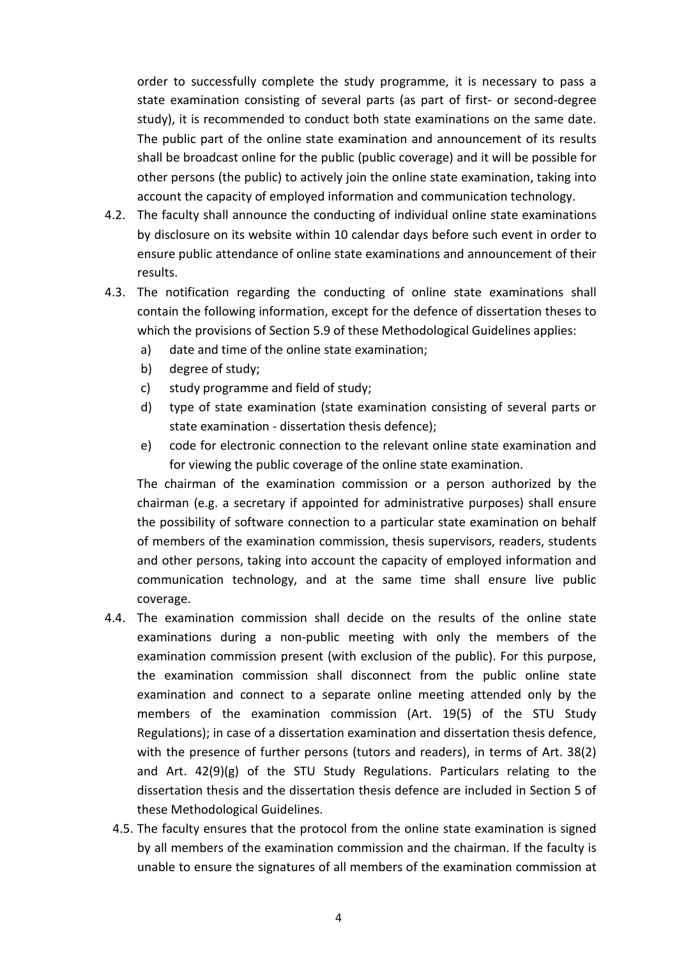order to successfully complete the study programme, it is necessary to pass a state examination consisting of several parts (as part of first- or second-degree study), it is recommended to conduct both state examinations on the same date. The public part of the online state examination and announcement of its results shall be broadcast online for the public (public coverage) and it will be possible for other persons (the public) to actively join the online state examination, taking into account the capacity of employed information and communication technology.

- 4.2. The faculty shall announce the conducting of individual online state examinations by disclosure on its website within 10 calendar days before such event in order to ensure public attendance of online state examinations and announcement of their results.
- 4.3. The notification regarding the conducting of online state examinations shall contain the following information, except for the defence of dissertation theses to which the provisions of Section 5.9 of these Methodological Guidelines applies:
	- a) date and time of the online state examination;
	- b) degree of study;
	- c) study programme and field of study;
	- d) type of state examination (state examination consisting of several parts or state examination - dissertation thesis defence);
	- e) code for electronic connection to the relevant online state examination and for viewing the public coverage of the online state examination.

The chairman of the examination commission or a person authorized by the chairman (e.g. a secretary if appointed for administrative purposes) shall ensure the possibility of software connection to a particular state examination on behalf of members of the examination commission, thesis supervisors, readers, students and other persons, taking into account the capacity of employed information and communication technology, and at the same time shall ensure live public coverage.

- 4.4. The examination commission shall decide on the results of the online state examinations during a non-public meeting with only the members of the examination commission present (with exclusion of the public). For this purpose, the examination commission shall disconnect from the public online state examination and connect to a separate online meeting attended only by the members of the examination commission (Art. 19(5) of the STU Study Regulations); in case of a dissertation examination and dissertation thesis defence, with the presence of further persons (tutors and readers), in terms of Art. 38(2) and Art. 42(9)(g) of the STU Study Regulations. Particulars relating to the dissertation thesis and the dissertation thesis defence are included in Section 5 of these Methodological Guidelines.
	- 4.5. The faculty ensures that the protocol from the online state examination is signed by all members of the examination commission and the chairman. If the faculty is unable to ensure the signatures of all members of the examination commission at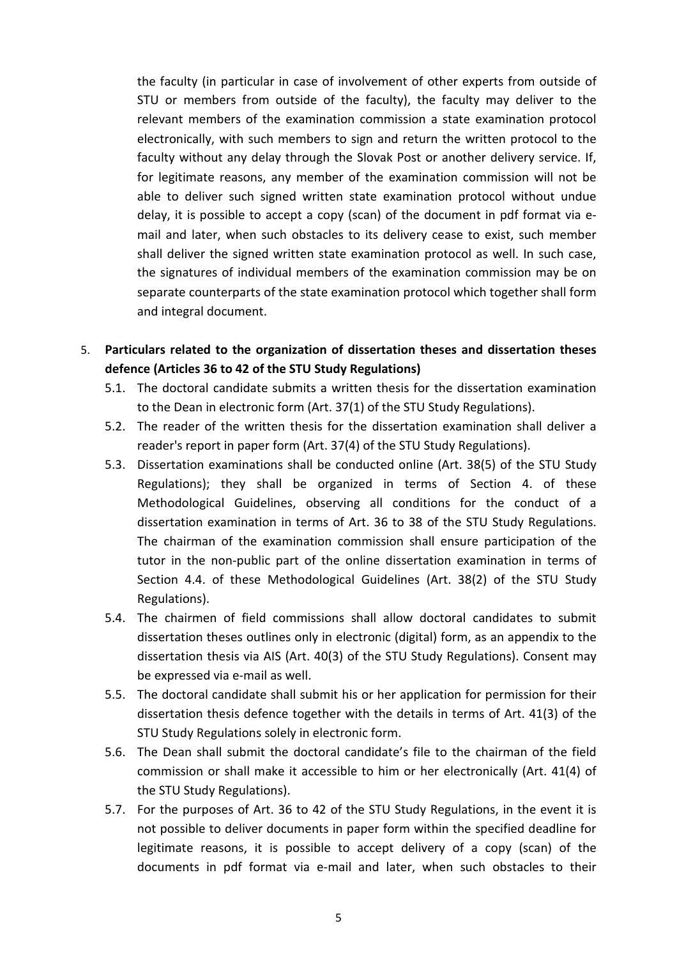the faculty (in particular in case of involvement of other experts from outside of STU or members from outside of the faculty), the faculty may deliver to the relevant members of the examination commission a state examination protocol electronically, with such members to sign and return the written protocol to the faculty without any delay through the Slovak Post or another delivery service. If, for legitimate reasons, any member of the examination commission will not be able to deliver such signed written state examination protocol without undue delay, it is possible to accept a copy (scan) of the document in pdf format via email and later, when such obstacles to its delivery cease to exist, such member shall deliver the signed written state examination protocol as well. In such case, the signatures of individual members of the examination commission may be on separate counterparts of the state examination protocol which together shall form and integral document.

### 5. **Particulars related to the organization of dissertation theses and dissertation theses defence (Articles 36 to 42 of the STU Study Regulations)**

- 5.1. The doctoral candidate submits a written thesis for the dissertation examination to the Dean in electronic form (Art. 37(1) of the STU Study Regulations).
- 5.2. The reader of the written thesis for the dissertation examination shall deliver a reader's report in paper form (Art. 37(4) of the STU Study Regulations).
- 5.3. Dissertation examinations shall be conducted online (Art. 38(5) of the STU Study Regulations); they shall be organized in terms of Section 4. of these Methodological Guidelines, observing all conditions for the conduct of a dissertation examination in terms of Art. 36 to 38 of the STU Study Regulations. The chairman of the examination commission shall ensure participation of the tutor in the non-public part of the online dissertation examination in terms of Section 4.4. of these Methodological Guidelines (Art. 38(2) of the STU Study Regulations).
- 5.4. The chairmen of field commissions shall allow doctoral candidates to submit dissertation theses outlines only in electronic (digital) form, as an appendix to the dissertation thesis via AIS (Art. 40(3) of the STU Study Regulations). Consent may be expressed via e-mail as well.
- 5.5. The doctoral candidate shall submit his or her application for permission for their dissertation thesis defence together with the details in terms of Art. 41(3) of the STU Study Regulations solely in electronic form.
- 5.6. The Dean shall submit the doctoral candidate's file to the chairman of the field commission or shall make it accessible to him or her electronically (Art. 41(4) of the STU Study Regulations).
- 5.7. For the purposes of Art. 36 to 42 of the STU Study Regulations, in the event it is not possible to deliver documents in paper form within the specified deadline for legitimate reasons, it is possible to accept delivery of a copy (scan) of the documents in pdf format via e-mail and later, when such obstacles to their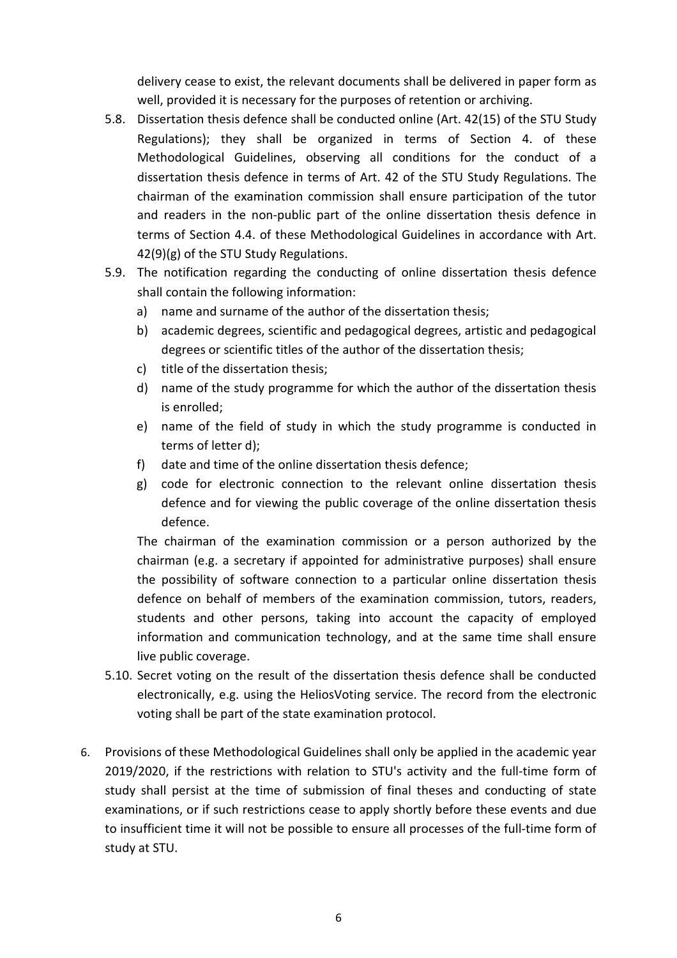delivery cease to exist, the relevant documents shall be delivered in paper form as well, provided it is necessary for the purposes of retention or archiving.

- 5.8. Dissertation thesis defence shall be conducted online (Art. 42(15) of the STU Study Regulations); they shall be organized in terms of Section 4. of these Methodological Guidelines, observing all conditions for the conduct of a dissertation thesis defence in terms of Art. 42 of the STU Study Regulations. The chairman of the examination commission shall ensure participation of the tutor and readers in the non-public part of the online dissertation thesis defence in terms of Section 4.4. of these Methodological Guidelines in accordance with Art. 42(9)(g) of the STU Study Regulations.
- 5.9. The notification regarding the conducting of online dissertation thesis defence shall contain the following information:
	- a) name and surname of the author of the dissertation thesis;
	- b) academic degrees, scientific and pedagogical degrees, artistic and pedagogical degrees or scientific titles of the author of the dissertation thesis;
	- c) title of the dissertation thesis;
	- d) name of the study programme for which the author of the dissertation thesis is enrolled;
	- e) name of the field of study in which the study programme is conducted in terms of letter d);
	- f) date and time of the online dissertation thesis defence;
	- g) code for electronic connection to the relevant online dissertation thesis defence and for viewing the public coverage of the online dissertation thesis defence.

The chairman of the examination commission or a person authorized by the chairman (e.g. a secretary if appointed for administrative purposes) shall ensure the possibility of software connection to a particular online dissertation thesis defence on behalf of members of the examination commission, tutors, readers, students and other persons, taking into account the capacity of employed information and communication technology, and at the same time shall ensure live public coverage.

- 5.10. Secret voting on the result of the dissertation thesis defence shall be conducted electronically, e.g. using the HeliosVoting service. The record from the electronic voting shall be part of the state examination protocol.
- 6. Provisions of these Methodological Guidelines shall only be applied in the academic year 2019/2020, if the restrictions with relation to STU's activity and the full-time form of study shall persist at the time of submission of final theses and conducting of state examinations, or if such restrictions cease to apply shortly before these events and due to insufficient time it will not be possible to ensure all processes of the full-time form of study at STU.